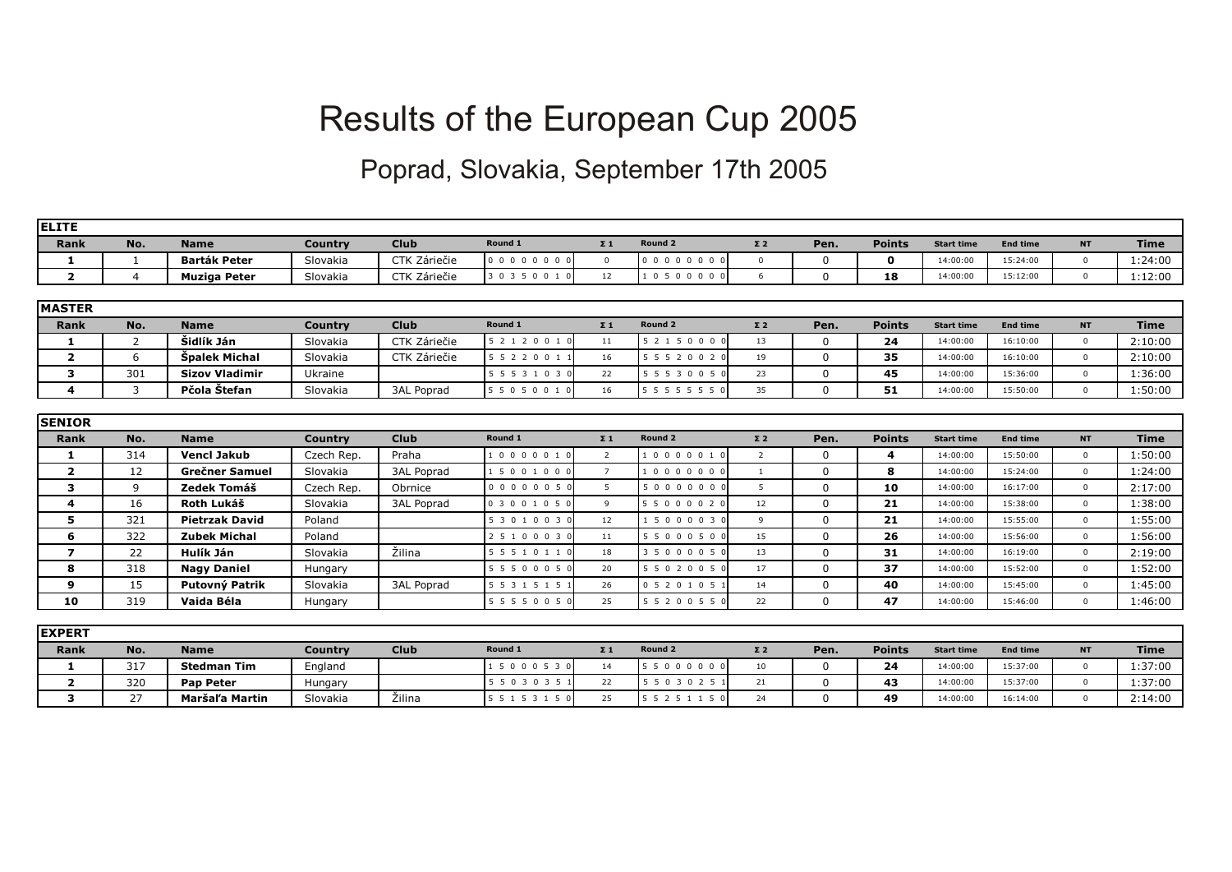## Results of the European Cup 2005

## Poprad, Slovakia, September 17th 2005

| <b>ELITE</b>            |                |                       |                |                   |                 |                 |                    |                |              |               |                   |                 |              |             |
|-------------------------|----------------|-----------------------|----------------|-------------------|-----------------|-----------------|--------------------|----------------|--------------|---------------|-------------------|-----------------|--------------|-------------|
| <b>Rank</b>             | No.            | <b>Name</b>           | <b>Country</b> | <b>Club</b>       | Round 1         | $\Sigma$ 1      | Round <sub>2</sub> | $\Sigma$ 2     | Pen.         | <b>Points</b> | <b>Start time</b> | <b>End time</b> | <b>NT</b>    | <b>Time</b> |
| 1                       | 1              | <b>Barták Peter</b>   | Slovakia       | CTK Záriečie      | 000000000       | $\mathbf{0}$    | 000000000          | $\mathbf{0}$   | $\Omega$     | $\mathbf{o}$  | 14:00:00          | 15:24:00        | $\mathbf{0}$ | 1:24:00     |
| $\overline{\mathbf{2}}$ | $\overline{4}$ | <b>Muziga Peter</b>   | Slovakia       | CTK Záriečie      | 3 0 3 5 0 0 1 0 | 12 <sup>2</sup> | 10500000           | 6              | $\mathbf{0}$ | 18            | 14:00:00          | 15:12:00        | $\mathbf{0}$ | 1:12:00     |
|                         |                |                       |                |                   |                 |                 |                    |                |              |               |                   |                 |              |             |
| <b>MASTER</b>           |                |                       |                |                   |                 |                 |                    |                |              |               |                   |                 |              |             |
| Rank                    | No.            | <b>Name</b>           | <b>Country</b> | <b>Club</b>       | Round 1         | $\Sigma$ 1      | Round 2            | $\Sigma$ 2     | Pen.         | <b>Points</b> | <b>Start time</b> | <b>End time</b> | <b>NT</b>    | <b>Time</b> |
| $\mathbf{1}$            | $\overline{2}$ | Šidlík Ján            | Slovakia       | CTK Záriečie      | 5 2 1 2 0 0 1 0 | 11              | 5 2 1 5 0 0 0 0    | 13             | $\mathbf{0}$ | 24            | 14:00:00          | 16:10:00        | $\mathbf{0}$ | 2:10:00     |
| $\overline{2}$          | 6              | Špalek Michal         | Slovakia       | CTK Záriečie      | 5 5 2 2 0 0 1 1 | 16              | 5 5 5 2 0 0 2 0    | 19             | $\Omega$     | 35            | 14:00:00          | 16:10:00        | $\mathbf{0}$ | 2:10:00     |
| 3                       | 301            | <b>Sizov Vladimir</b> | Ukraine        |                   | 5 5 5 3 1 0 3 0 | 22              | 5 5 5 3 0 0 5 0    | 23             | $\Omega$     | 45            | 14:00:00          | 15:36:00        | $\mathbf 0$  | 1:36:00     |
| $\overline{4}$          | 3              | Pčola Štefan          | Slovakia       | <b>3AL Poprad</b> | 5 5 0 5 0 0 1 0 | 16              | 5 5 5 5 5 5 5 0    | 35             | $\Omega$     | 51            | 14:00:00          | 15:50:00        | $\mathbf{0}$ | 1:50:00     |
|                         |                |                       |                |                   |                 |                 |                    |                |              |               |                   |                 |              |             |
| <b>SENIOR</b>           |                |                       |                |                   |                 |                 |                    |                |              |               |                   |                 |              |             |
| <b>Rank</b>             | No.            | <b>Name</b>           | <b>Country</b> | <b>Club</b>       | Round 1         | $\Sigma$ 1      | Round 2            | $\Sigma$ 2     | Pen.         | <b>Points</b> | <b>Start time</b> | <b>End time</b> | <b>NT</b>    | <b>Time</b> |
| 1                       | 314            | <b>Vencl Jakub</b>    | Czech Rep      | Praha             | 10000010        | 2               | 10000010           | $\overline{2}$ | $\Omega$     | 4             | 14:00:00          | 15:50:00        | $\mathbf 0$  | 1:50:00     |
| $\overline{\mathbf{2}}$ | 12             | <b>Grečner Samuel</b> | Slovakia       | <b>3AL Poprad</b> | 15001000        | $\overline{7}$  | 10000000           | 1              | $\Omega$     | 8             | 14:00:00          | 15:24:00        | $\mathbf{0}$ | 1:24:00     |
| 3                       | 9              | Zedek Tomáš           | Czech Rep.     | Obrnice           | 00000050        | 5 <sup>5</sup>  | 50000000           | 5              | $\Omega$     | 10            | 14:00:00          | 16:17:00        | $\mathbf{0}$ | 2:17:00     |
| $\overline{4}$          | 16             | Roth Lukáš            | Slovakia       | <b>3AL Poprad</b> | 0 3 0 0 1 0 5 0 | 9               | 5 5 0 0 0 0 2 0    | 12             | $\Omega$     | 21            | 14:00:00          | 15:38:00        | $\mathbf{0}$ | 1:38:00     |
| 5                       | 321            | <b>Pietrzak David</b> | Poland         |                   | 53010030        | 12              | 1 5 0 0 0 0 3 0    | 9              | $\Omega$     | 21            | 14:00:00          | 15:55:00        | $\Omega$     | 1:55:00     |
| 6                       | 322            | <b>Zubek Michal</b>   | Poland         |                   | 2 5 1 0 0 0 3 0 | 11              | 5 5 0 0 0 5 0 0    | 15             | $\Omega$     | 26            | 14:00:00          | 15:56:00        | $\mathbf{0}$ | 1:56:00     |
| $\overline{\mathbf{z}}$ | 22             | Hulík Ján             | Slovakia       | Žilina            | 5 5 5 1 0 1 1 0 | 18              | 3 5 0 0 0 0 5 0    | 13             | $\Omega$     | 31            | 14:00:00          | 16:19:00        | $\mathbf 0$  | 2:19:00     |
| 8                       | 318            | <b>Nagy Daniel</b>    | Hungary        |                   | 5 5 5 0 0 0 5 0 | 20              | 5 5 0 2 0 0 5 0    | 17             | $\Omega$     | 37            | 14:00:00          | 15:52:00        | $\mathbf{0}$ | 1:52:00     |
| 9                       | 15             | Putovný Patrik        | Slovakia       | <b>3AL Poprad</b> | 5 5 3 1 5 1 5 1 | 26              | 0 5 2 0 1 0 5 1    | 14             | $\Omega$     | 40            | 14:00:00          | 15:45:00        | $\mathbf{0}$ | 1:45:00     |
| 10                      | 319            | Vaida Béla            | Hungary        |                   | 5 5 5 5 0 0 5 0 | 25              | 5 5 2 0 0 5 5 0    | 22             | $\Omega$     | 47            | 14:00:00          | 15:46:00        | $\mathbf{0}$ | 1:46:00     |
|                         |                |                       |                |                   |                 |                 |                    |                |              |               |                   |                 |              |             |
| <b>IEXPERT</b>          |                |                       |                |                   |                 |                 |                    |                |              |               |                   |                 |              |             |
| <b>Rank</b>             | No.            | <b>Name</b>           | <b>Country</b> | <b>Club</b>       | Round 1         | $\Sigma$ 1      | Round <sub>2</sub> | $\Sigma$ 2     | Pen.         | <b>Points</b> | <b>Start time</b> | <b>End time</b> | <b>NT</b>    | <b>Time</b> |
| 1                       | 317            | <b>Stedman Tim</b>    | England        |                   | 1 5 0 0 0 5 3 0 | 14              | 5 5 0 0 0 0 0 0    | 10             | $\Omega$     | 24            | 14:00:00          | 15:37:00        | $\Omega$     | 1:37:00     |

**2** 320 **Pap Peter** Hungary 5 5 0 3 0 3 5 1 22 5 5 0 3 0 2 5 1 21 0 **43** 14:00:00 15:37:00 0 1:37:00 **3** 27 **Maršaľa Martin** Slovakia Žilina 5 5 1 5 3 1 5 0 25 5 5 2 5 1 1 5 0 24 0 **49** 14:00:00 16:14:00 0 2:14:00